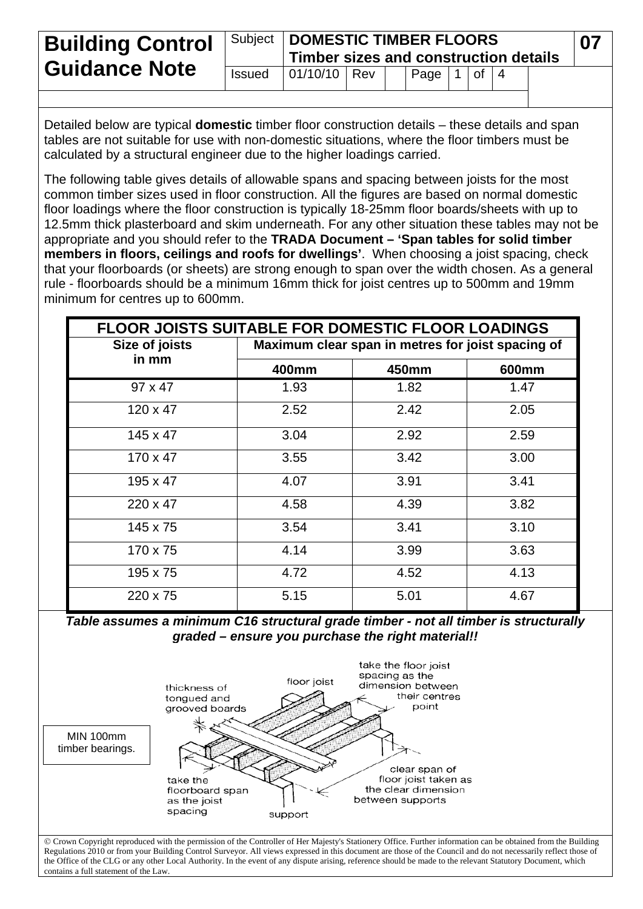| <b>Building Control</b> |               | Subject   DOMESTIC TIMBER FLOORS<br>Timber sizes and construction details |  |  |      |  |             |  |  |  |
|-------------------------|---------------|---------------------------------------------------------------------------|--|--|------|--|-------------|--|--|--|
| <b>Guidance Note</b>    | <b>Issued</b> | 01/10/10 Rev                                                              |  |  | Page |  | $1$ of $14$ |  |  |  |

Detailed below are typical **domestic** timber floor construction details – these details and span tables are not suitable for use with non-domestic situations, where the floor timbers must be calculated by a structural engineer due to the higher loadings carried.

The following table gives details of allowable spans and spacing between joists for the most common timber sizes used in floor construction. All the figures are based on normal domestic floor loadings where the floor construction is typically 18-25mm floor boards/sheets with up to 12.5mm thick plasterboard and skim underneath. For any other situation these tables may not be appropriate and you should refer to the **TRADA Document – 'Span tables for solid timber members in floors, ceilings and roofs for dwellings'**. When choosing a joist spacing, check that your floorboards (or sheets) are strong enough to span over the width chosen. As a general rule - floorboards should be a minimum 16mm thick for joist centres up to 500mm and 19mm minimum for centres up to 600mm.

| <b>FLOOR JOISTS SUITABLE FOR DOMESTIC FLOOR LOADINGS</b> |                                                   |       |                   |  |  |  |  |
|----------------------------------------------------------|---------------------------------------------------|-------|-------------------|--|--|--|--|
| Size of joists                                           | Maximum clear span in metres for joist spacing of |       |                   |  |  |  |  |
| in mm                                                    | 400mm                                             | 450mm | 600 <sub>mm</sub> |  |  |  |  |
| $97 \times 47$                                           | 1.93                                              | 1.82  | 1.47              |  |  |  |  |
| $120 \times 47$                                          | 2.52                                              | 2.42  | 2.05              |  |  |  |  |
| $145 \times 47$                                          | 3.04                                              | 2.92  | 2.59              |  |  |  |  |
| $170 \times 47$                                          | 3.55                                              | 3.42  | 3.00              |  |  |  |  |
| 195 x 47                                                 | 4.07                                              | 3.91  | 3.41              |  |  |  |  |
| $220 \times 47$                                          | 4.58                                              | 4.39  | 3.82              |  |  |  |  |
| 145 x 75                                                 | 3.54                                              | 3.41  | 3.10              |  |  |  |  |
| 170 x 75                                                 | 4.14                                              | 3.99  | 3.63              |  |  |  |  |
| 195 x 75                                                 | 4.72                                              | 4.52  | 4.13              |  |  |  |  |
| 220 x 75                                                 | 5.15                                              | 5.01  | 4.67              |  |  |  |  |

### *Table assumes a minimum C16 structural grade timber - not all timber is structurally graded – ensure you purchase the right material!!*



Regulations 2010 or from your Building Control Surveyor. All views expressed in this document are those of the Council and do not necessarily reflect those of the Office of the CLG or any other Local Authority. In the event of any dispute arising, reference should be made to the relevant Statutory Document, which contains a full statement of the Law.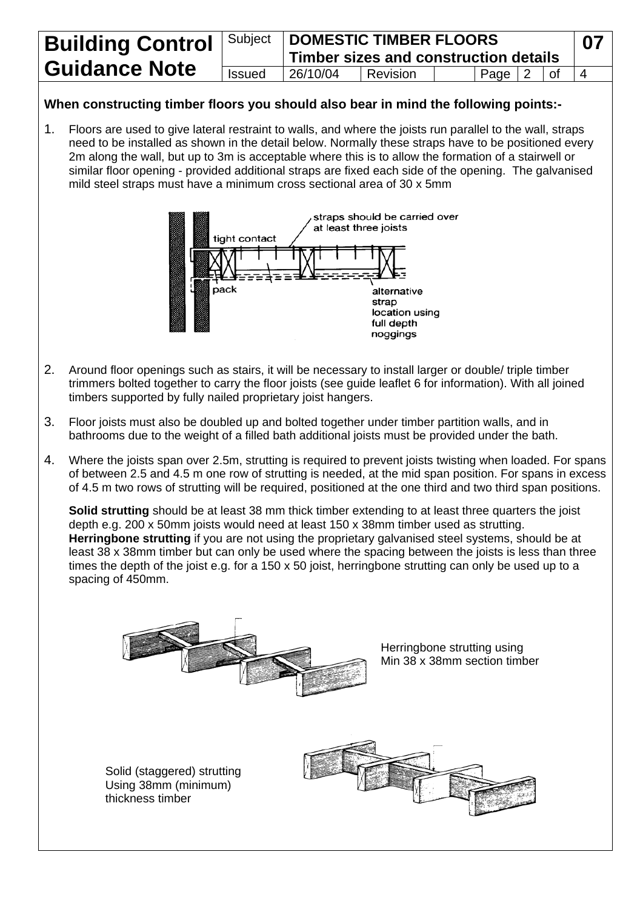| <b>Building Control</b> | Subject       |          | <b>DOMESTIC TIMBER FLOORS</b><br>Timber sizes and construction details |  |            |  |    | 07 |
|-------------------------|---------------|----------|------------------------------------------------------------------------|--|------------|--|----|----|
| <b>Guidance Note</b>    | <b>Issued</b> | 26/10/04 | l Revision                                                             |  | Page $ 2 $ |  | 0f |    |

## **When constructing timber floors you should also bear in mind the following points:-**

1. Floors are used to give lateral restraint to walls, and where the joists run parallel to the wall, straps need to be installed as shown in the detail below. Normally these straps have to be positioned every 2m along the wall, but up to 3m is acceptable where this is to allow the formation of a stairwell or similar floor opening - provided additional straps are fixed each side of the opening. The galvanised mild steel straps must have a minimum cross sectional area of 30 x 5mm



- 2. Around floor openings such as stairs, it will be necessary to install larger or double/ triple timber trimmers bolted together to carry the floor joists (see guide leaflet 6 for information). With all joined timbers supported by fully nailed proprietary joist hangers.
- 3. Floor joists must also be doubled up and bolted together under timber partition walls, and in bathrooms due to the weight of a filled bath additional joists must be provided under the bath.
- 4. Where the joists span over 2.5m, strutting is required to prevent joists twisting when loaded. For spans of between 2.5 and 4.5 m one row of strutting is needed, at the mid span position. For spans in excess of 4.5 m two rows of strutting will be required, positioned at the one third and two third span positions.

**Solid strutting** should be at least 38 mm thick timber extending to at least three quarters the joist depth e.g. 200 x 50mm joists would need at least 150 x 38mm timber used as strutting. **Herringbone strutting** if you are not using the proprietary galvanised steel systems, should be at least 38 x 38mm timber but can only be used where the spacing between the joists is less than three times the depth of the joist e.g. for a 150 x 50 joist, herringbone strutting can only be used up to a spacing of 450mm.

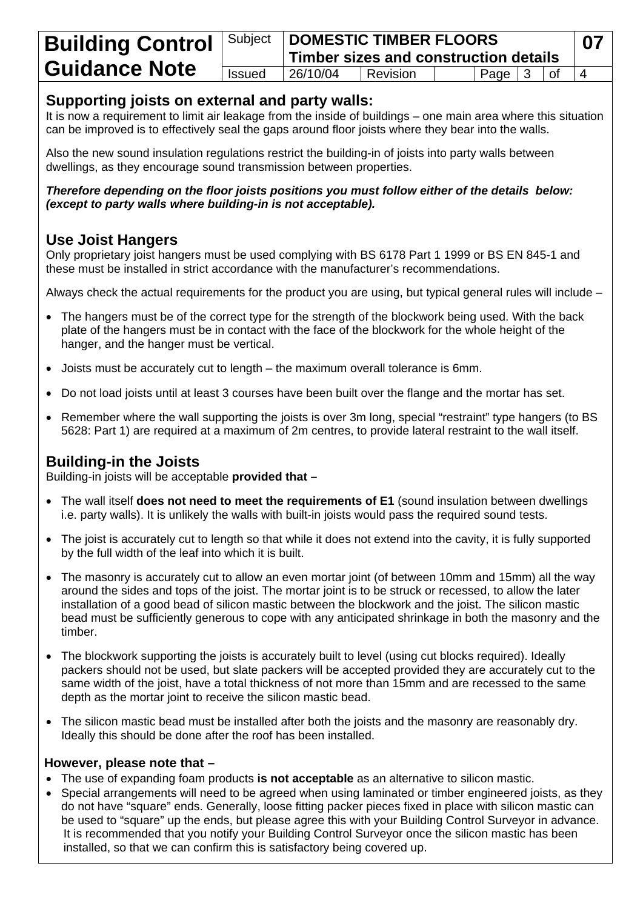|                      |               | <b>Building Control</b> Subject DOMESTIC TIMBER FLOORS<br>Timber sizes and construction details |          |  |                   |  |  |  |  |
|----------------------|---------------|-------------------------------------------------------------------------------------------------|----------|--|-------------------|--|--|--|--|
| <b>Guidance Note</b> | <b>Issued</b> | 26/10/04                                                                                        | Revision |  | $ $ Page $ 3 $ of |  |  |  |  |
|                      |               |                                                                                                 |          |  |                   |  |  |  |  |

## **Supporting joists on external and party walls:**

It is now a requirement to limit air leakage from the inside of buildings – one main area where this situation can be improved is to effectively seal the gaps around floor joists where they bear into the walls.

Also the new sound insulation regulations restrict the building-in of joists into party walls between dwellings, as they encourage sound transmission between properties.

#### *Therefore depending on the floor joists positions you must follow either of the details below: (except to party walls where building-in is not acceptable).*

# **Use Joist Hangers**

Only proprietary joist hangers must be used complying with BS 6178 Part 1 1999 or BS EN 845-1 and these must be installed in strict accordance with the manufacturer's recommendations.

Always check the actual requirements for the product you are using, but typical general rules will include –

- The hangers must be of the correct type for the strength of the blockwork being used. With the back plate of the hangers must be in contact with the face of the blockwork for the whole height of the hanger, and the hanger must be vertical.
- Joists must be accurately cut to length the maximum overall tolerance is 6mm.
- Do not load joists until at least 3 courses have been built over the flange and the mortar has set.
- Remember where the wall supporting the joists is over 3m long, special "restraint" type hangers (to BS 5628: Part 1) are required at a maximum of 2m centres, to provide lateral restraint to the wall itself.

# **Building-in the Joists**

Building-in joists will be acceptable **provided that –** 

- The wall itself **does not need to meet the requirements of E1** (sound insulation between dwellings i.e. party walls). It is unlikely the walls with built-in joists would pass the required sound tests.
- The joist is accurately cut to length so that while it does not extend into the cavity, it is fully supported by the full width of the leaf into which it is built.
- The masonry is accurately cut to allow an even mortar joint (of between 10mm and 15mm) all the way around the sides and tops of the joist. The mortar joint is to be struck or recessed, to allow the later installation of a good bead of silicon mastic between the blockwork and the joist. The silicon mastic bead must be sufficiently generous to cope with any anticipated shrinkage in both the masonry and the timber.
- The blockwork supporting the joists is accurately built to level (using cut blocks required). Ideally packers should not be used, but slate packers will be accepted provided they are accurately cut to the same width of the joist, have a total thickness of not more than 15mm and are recessed to the same depth as the mortar joint to receive the silicon mastic bead.
- The silicon mastic bead must be installed after both the joists and the masonry are reasonably dry. Ideally this should be done after the roof has been installed.

#### **However, please note that –**

- The use of expanding foam products **is not acceptable** as an alternative to silicon mastic.
- Special arrangements will need to be agreed when using laminated or timber engineered joists, as they do not have "square" ends. Generally, loose fitting packer pieces fixed in place with silicon mastic can be used to "square" up the ends, but please agree this with your Building Control Surveyor in advance. It is recommended that you notify your Building Control Surveyor once the silicon mastic has been installed, so that we can confirm this is satisfactory being covered up.